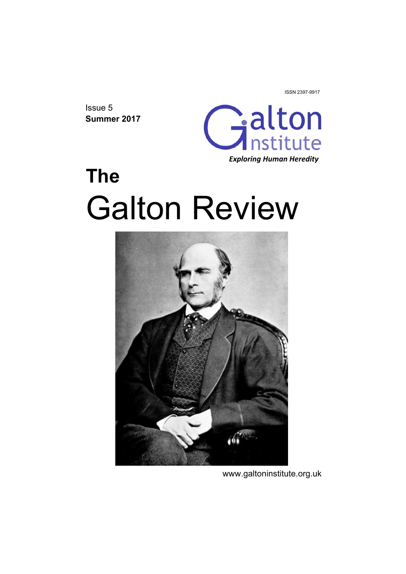ISSN 2397-9917

Issue 5 **Summer 2017** 



# **The**  Galton Review



www.galtoninstitute.org.uk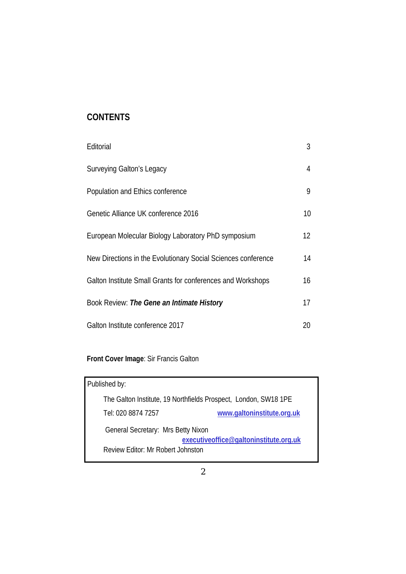## **CONTENTS**

| Editorial                                                     | 3               |
|---------------------------------------------------------------|-----------------|
| Surveying Galton's Legacy                                     | 4               |
| Population and Ethics conference                              | 9               |
| Genetic Alliance UK conference 2016                           | 10 <sup>°</sup> |
| European Molecular Biology Laboratory PhD symposium           | 12              |
| New Directions in the Evolutionary Social Sciences conference | 14              |
| Galton Institute Small Grants for conferences and Workshops   | 16              |
| Book Review: The Gene an Intimate History                     | 17              |
| Galton Institute conference 2017                              | 20              |

# **Front Cover Image**: Sir Francis Galton

| Published by:                                                   |
|-----------------------------------------------------------------|
| The Galton Institute, 19 Northfields Prospect, London, SW18 1PE |
| www.galtoninstitute.org.uk<br>Tel: 020 8874 7257                |
| General Secretary: Mrs Betty Nixon                              |
| executiveoffice@galtoninstitute.org.uk                          |
| Review Editor: Mr Robert Johnston                               |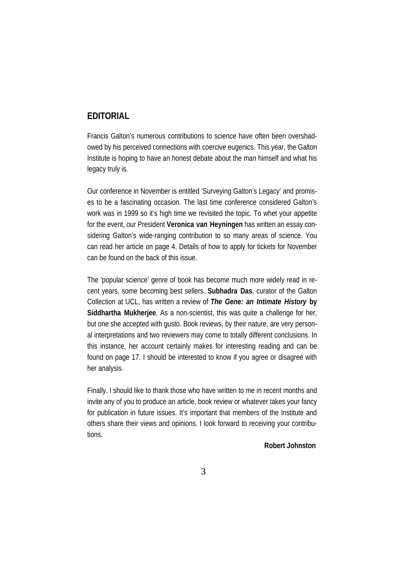#### **EDITORIAL**

Francis Galton's numerous contributions to science have often been overshadowed by his perceived connections with coercive eugenics. This year, the Galton Institute is hoping to have an honest debate about the man himself and what his legacy truly is.

Our conference in November is entitled 'Surveying Galton's Legacy' and promises to be a fascinating occasion. The last time conference considered Galton's work was in 1999 so it's high time we revisited the topic. To whet your appetite for the event, our President **Veronica van Heyningen** has written an essay considering Galton's wide-ranging contribution to so many areas of science. You can read her article on page 4. Details of how to apply for tickets for November can be found on the back of this issue.

The 'popular science' genre of book has become much more widely read in recent years, some becoming best sellers. **Subhadra Das**, curator of the Galton Collection at UCL, has written a review of *The Gene: an Intimate History* **by Siddhartha Mukherjee**. As a non-scientist, this was quite a challenge for her, but one she accepted with gusto. Book reviews, by their nature, are very personal interpretations and two reviewers may come to totally different conclusions. In this instance, her account certainly makes for interesting reading and can be found on page 17. I should be interested to know if you agree or disagree with her analysis.

Finally, I should like to thank those who have written to me in recent months and invite any of you to produce an article, book review or whatever takes your fancy for publication in future issues. It's important that members of the Institute and others share their views and opinions. I look forward to receiving your contributions.

 **Robert Johnston**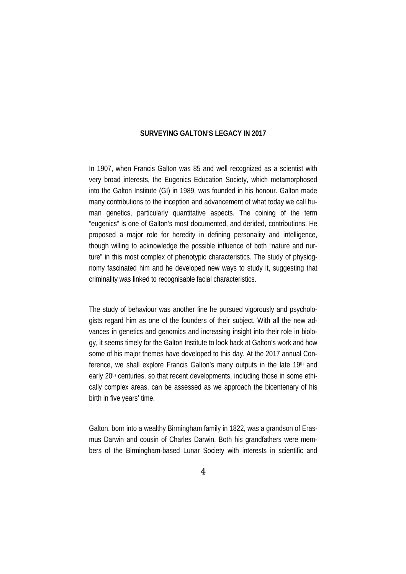#### **SURVEYING GALTON'S LEGACY IN 2017**

In 1907, when Francis Galton was 85 and well recognized as a scientist with very broad interests, the Eugenics Education Society, which metamorphosed into the Galton Institute (GI) in 1989, was founded in his honour. Galton made many contributions to the inception and advancement of what today we call human genetics, particularly quantitative aspects. The coining of the term "eugenics" is one of Galton's most documented, and derided, contributions. He proposed a major role for heredity in defining personality and intelligence, though willing to acknowledge the possible influence of both "nature and nurture" in this most complex of phenotypic characteristics. The study of physiognomy fascinated him and he developed new ways to study it, suggesting that criminality was linked to recognisable facial characteristics.

The study of behaviour was another line he pursued vigorously and psychologists regard him as one of the founders of their subject. With all the new advances in genetics and genomics and increasing insight into their role in biology, it seems timely for the Galton Institute to look back at Galton's work and how some of his major themes have developed to this day. At the 2017 annual Conference, we shall explore Francis Galton's many outputs in the late 19th and early 20<sup>th</sup> centuries, so that recent developments, including those in some ethically complex areas, can be assessed as we approach the bicentenary of his birth in five years' time.

Galton, born into a wealthy Birmingham family in 1822, was a grandson of Erasmus Darwin and cousin of Charles Darwin. Both his grandfathers were members of the Birmingham-based Lunar Society with interests in scientific and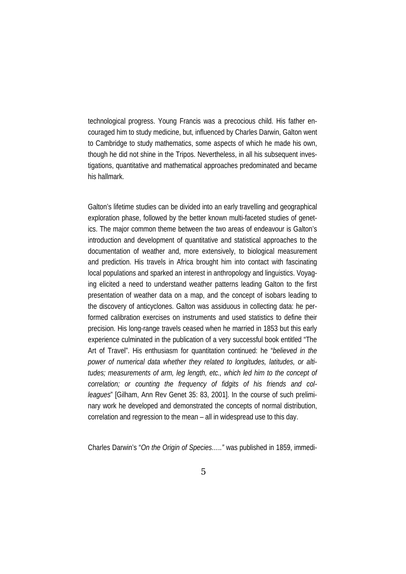technological progress. Young Francis was a precocious child. His father encouraged him to study medicine, but, influenced by Charles Darwin, Galton went to Cambridge to study mathematics, some aspects of which he made his own, though he did not shine in the Tripos. Nevertheless, in all his subsequent investigations, quantitative and mathematical approaches predominated and became his hallmark.

Galton's lifetime studies can be divided into an early travelling and geographical exploration phase, followed by the better known multi-faceted studies of genetics. The major common theme between the two areas of endeavour is Galton's introduction and development of quantitative and statistical approaches to the documentation of weather and, more extensively, to biological measurement and prediction. His travels in Africa brought him into contact with fascinating local populations and sparked an interest in anthropology and linguistics. Voyaging elicited a need to understand weather patterns leading Galton to the first presentation of weather data on a map, and the concept of isobars leading to the discovery of anticyclones. Galton was assiduous in collecting data: he performed calibration exercises on instruments and used statistics to define their precision. His long-range travels ceased when he married in 1853 but this early experience culminated in the publication of a very successful book entitled "The Art of Travel". His enthusiasm for quantitation continued: he "*believed in the power of numerical data whether they related to longitudes, latitudes, or altitudes; measurements of arm, leg length, etc., which led him to the concept of correlation; or counting the frequency of fidgits of his friends and colleagues*" [Gilham, Ann Rev Genet 35: 83, 2001]. In the course of such preliminary work he developed and demonstrated the concepts of normal distribution, correlation and regression to the mean – all in widespread use to this day.

Charles Darwin's "*On the Origin of Species….."* was published in 1859, immedi-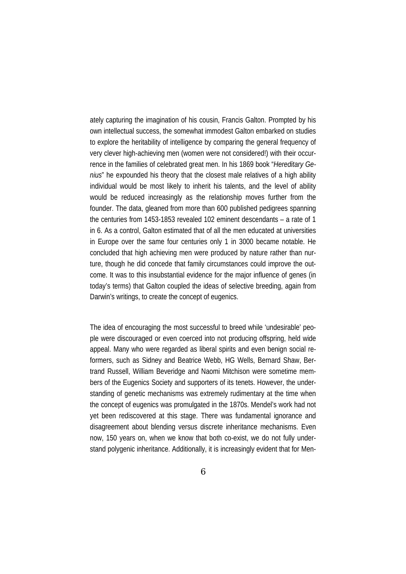ately capturing the imagination of his cousin, Francis Galton. Prompted by his own intellectual success, the somewhat immodest Galton embarked on studies to explore the heritability of intelligence by comparing the general frequency of very clever high-achieving men (women were not considered!) with their occurrence in the families of celebrated great men. In his 1869 book "*Hereditary Genius*" he expounded his theory that the closest male relatives of a high ability individual would be most likely to inherit his talents, and the level of ability would be reduced increasingly as the relationship moves further from the founder. The data, gleaned from more than 600 published pedigrees spanning the centuries from 1453-1853 revealed 102 eminent descendants – a rate of 1 in 6. As a control, Galton estimated that of all the men educated at universities in Europe over the same four centuries only 1 in 3000 became notable. He concluded that high achieving men were produced by nature rather than nurture, though he did concede that family circumstances could improve the outcome. It was to this insubstantial evidence for the major influence of genes (in today's terms) that Galton coupled the ideas of selective breeding, again from Darwin's writings, to create the concept of eugenics.

The idea of encouraging the most successful to breed while 'undesirable' people were discouraged or even coerced into not producing offspring, held wide appeal. Many who were regarded as liberal spirits and even benign social reformers, such as Sidney and Beatrice Webb, HG Wells, Bernard Shaw, Bertrand Russell, William Beveridge and Naomi Mitchison were sometime members of the Eugenics Society and supporters of its tenets. However, the understanding of genetic mechanisms was extremely rudimentary at the time when the concept of eugenics was promulgated in the 1870s. Mendel's work had not yet been rediscovered at this stage. There was fundamental ignorance and disagreement about blending versus discrete inheritance mechanisms. Even now, 150 years on, when we know that both co-exist, we do not fully understand polygenic inheritance. Additionally, it is increasingly evident that for Men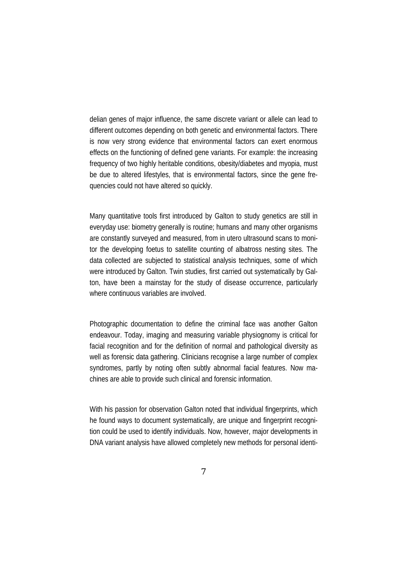delian genes of major influence, the same discrete variant or allele can lead to different outcomes depending on both genetic and environmental factors. There is now very strong evidence that environmental factors can exert enormous effects on the functioning of defined gene variants. For example: the increasing frequency of two highly heritable conditions, obesity/diabetes and myopia, must be due to altered lifestyles, that is environmental factors, since the gene frequencies could not have altered so quickly.

Many quantitative tools first introduced by Galton to study genetics are still in everyday use: biometry generally is routine; humans and many other organisms are constantly surveyed and measured, from in utero ultrasound scans to monitor the developing foetus to satellite counting of albatross nesting sites. The data collected are subjected to statistical analysis techniques, some of which were introduced by Galton. Twin studies, first carried out systematically by Galton, have been a mainstay for the study of disease occurrence, particularly where continuous variables are involved.

Photographic documentation to define the criminal face was another Galton endeavour. Today, imaging and measuring variable physiognomy is critical for facial recognition and for the definition of normal and pathological diversity as well as forensic data gathering. Clinicians recognise a large number of complex syndromes, partly by noting often subtly abnormal facial features. Now machines are able to provide such clinical and forensic information.

With his passion for observation Galton noted that individual fingerprints, which he found ways to document systematically, are unique and fingerprint recognition could be used to identify individuals. Now, however, major developments in DNA variant analysis have allowed completely new methods for personal identi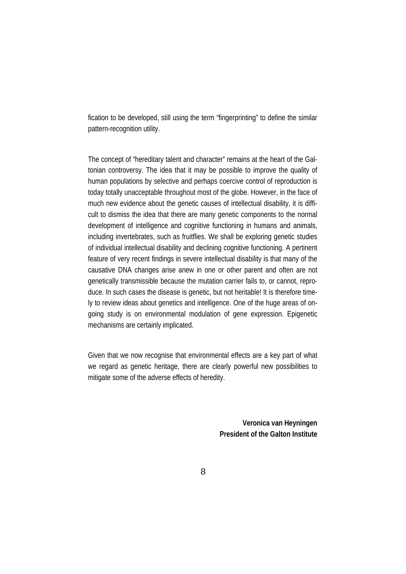fication to be developed, still using the term "fingerprinting" to define the similar pattern-recognition utility.

The concept of "hereditary talent and character" remains at the heart of the Galtonian controversy. The idea that it may be possible to improve the quality of human populations by selective and perhaps coercive control of reproduction is today totally unacceptable throughout most of the globe. However, in the face of much new evidence about the genetic causes of intellectual disability, it is difficult to dismiss the idea that there are many genetic components to the normal development of intelligence and cognitive functioning in humans and animals, including invertebrates, such as fruitflies. We shall be exploring genetic studies of individual intellectual disability and declining cognitive functioning. A pertinent feature of very recent findings in severe intellectual disability is that many of the causative DNA changes arise anew in one or other parent and often are not genetically transmissible because the mutation carrier fails to, or cannot, reproduce. In such cases the disease is genetic, but not heritable! It is therefore timely to review ideas about genetics and intelligence. One of the huge areas of ongoing study is on environmental modulation of gene expression. Epigenetic mechanisms are certainly implicated.

Given that we now recognise that environmental effects are a key part of what we regard as genetic heritage, there are clearly powerful new possibilities to mitigate some of the adverse effects of heredity.

> **Veronica van Heyningen President of the Galton Institute**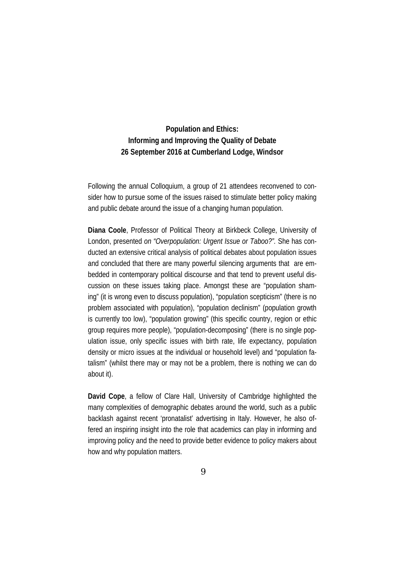### **Population and Ethics: Informing and Improving the Quality of Debate 26 September 2016 at Cumberland Lodge, Windsor**

Following the annual Colloquium, a group of 21 attendees reconvened to consider how to pursue some of the issues raised to stimulate better policy making and public debate around the issue of a changing human population.

**Diana Coole**, Professor of Political Theory at Birkbeck College, University of London, presented *on "Overpopulation: Urgent Issue or Taboo?".* She has conducted an extensive critical analysis of political debates about population issues and concluded that there are many powerful silencing arguments that are embedded in contemporary political discourse and that tend to prevent useful discussion on these issues taking place. Amongst these are "population shaming" (it is wrong even to discuss population), "population scepticism" (there is no problem associated with population), "population declinism" (population growth is currently too low), "population growing" (this specific country, region or ethic group requires more people), "population-decomposing" (there is no single population issue, only specific issues with birth rate, life expectancy, population density or micro issues at the individual or household level) and "population fatalism" (whilst there may or may not be a problem, there is nothing we can do about it).

**David Cope**, a fellow of Clare Hall, University of Cambridge highlighted the many complexities of demographic debates around the world, such as a public backlash against recent 'pronatalist' advertising in Italy. However, he also offered an inspiring insight into the role that academics can play in informing and improving policy and the need to provide better evidence to policy makers about how and why population matters.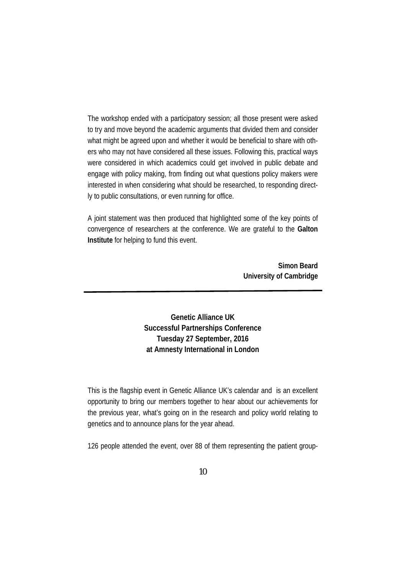The workshop ended with a participatory session; all those present were asked to try and move beyond the academic arguments that divided them and consider what might be agreed upon and whether it would be beneficial to share with others who may not have considered all these issues. Following this, practical ways were considered in which academics could get involved in public debate and engage with policy making, from finding out what questions policy makers were interested in when considering what should be researched, to responding directly to public consultations, or even running for office.

A joint statement was then produced that highlighted some of the key points of convergence of researchers at the conference. We are grateful to the **Galton Institute** for helping to fund this event.

> **Simon Beard University of Cambridge**

**Genetic Alliance UK Successful Partnerships Conference Tuesday 27 September, 2016 at Amnesty International in London**

This is the flagship event in Genetic Alliance UK's calendar and is an excellent opportunity to bring our members together to hear about our achievements for the previous year, what's going on in the research and policy world relating to genetics and to announce plans for the year ahead.

126 people attended the event, over 88 of them representing the patient group-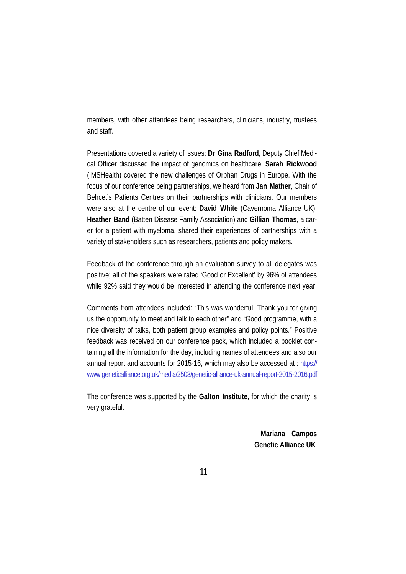members, with other attendees being researchers, clinicians, industry, trustees and staff.

Presentations covered a variety of issues: **Dr Gina Radford**, Deputy Chief Medical Officer discussed the impact of genomics on healthcare; **Sarah Rickwood** (IMSHealth) covered the new challenges of Orphan Drugs in Europe. With the focus of our conference being partnerships, we heard from **Jan Mather**, Chair of Behcet's Patients Centres on their partnerships with clinicians. Our members were also at the centre of our event: **David White** (Cavernoma Alliance UK), **Heather Band** (Batten Disease Family Association) and **Gillian Thomas**, a carer for a patient with myeloma, shared their experiences of partnerships with a variety of stakeholders such as researchers, patients and policy makers.

Feedback of the conference through an evaluation survey to all delegates was positive; all of the speakers were rated 'Good or Excellent' by 96% of attendees while 92% said they would be interested in attending the conference next year.

Comments from attendees included: "This was wonderful. Thank you for giving us the opportunity to meet and talk to each other" and "Good programme, with a nice diversity of talks, both patient group examples and policy points." Positive feedback was received on our conference pack, which included a booklet containing all the information for the day, including names of attendees and also our annual report and accounts for 2015-16, which may also be accessed at : https:// www.geneticalliance.org.uk/media/2503/genetic-alliance-uk-annual-report-2015-2016.pdf

The conference was supported by the **Galton Institute**, for which the charity is very grateful.

> **Mariana Campos Genetic Alliance UK**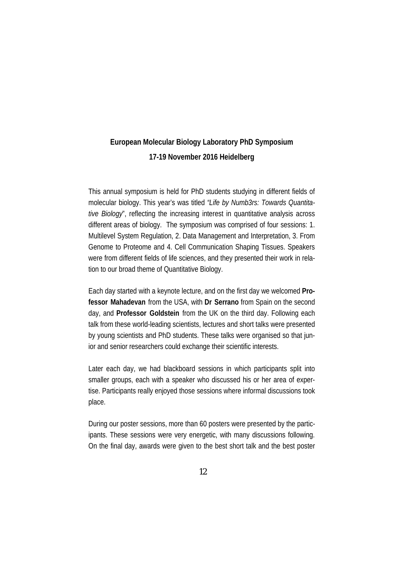## **European Molecular Biology Laboratory PhD Symposium 17-19 November 2016 Heidelberg**

This annual symposium is held for PhD students studying in different fields of molecular biology. This year's was titled *"Life by Numb3rs: Towards Quantitative Biology*", reflecting the increasing interest in quantitative analysis across different areas of biology. The symposium was comprised of four sessions: 1. Multilevel System Regulation, 2. Data Management and Interpretation, 3. From Genome to Proteome and 4. Cell Communication Shaping Tissues. Speakers were from different fields of life sciences, and they presented their work in relation to our broad theme of Quantitative Biology.

Each day started with a keynote lecture, and on the first day we welcomed **Professor Mahadevan** from the USA, with **Dr Serrano** from Spain on the second day, and **Professor Goldstein** from the UK on the third day. Following each talk from these world-leading scientists, lectures and short talks were presented by young scientists and PhD students. These talks were organised so that junior and senior researchers could exchange their scientific interests.

Later each day, we had blackboard sessions in which participants split into smaller groups, each with a speaker who discussed his or her area of expertise. Participants really enjoyed those sessions where informal discussions took place.

During our poster sessions, more than 60 posters were presented by the participants. These sessions were very energetic, with many discussions following. On the final day, awards were given to the best short talk and the best poster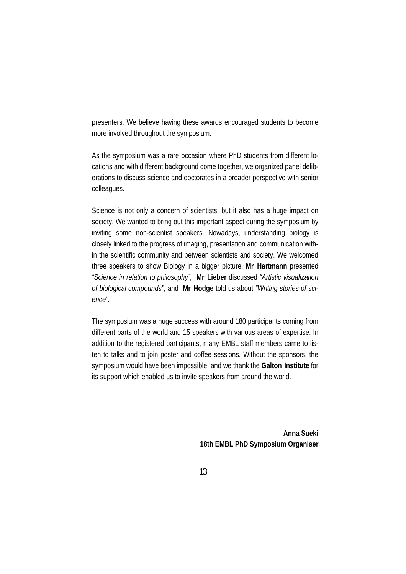presenters. We believe having these awards encouraged students to become more involved throughout the symposium.

As the symposium was a rare occasion where PhD students from different locations and with different background come together, we organized panel deliberations to discuss science and doctorates in a broader perspective with senior colleagues.

Science is not only a concern of scientists, but it also has a huge impact on society. We wanted to bring out this important aspect during the symposium by inviting some non-scientist speakers. Nowadays, understanding biology is closely linked to the progress of imaging, presentation and communication within the scientific community and between scientists and society. We welcomed three speakers to show Biology in a bigger picture. **Mr Hartmann** presented *"Science in relation to philosophy",* **Mr Lieber** discussed *"Artistic visualization of biological compounds",* and **Mr Hodge** told us about *"Writing stories of science".* 

The symposium was a huge success with around 180 participants coming from different parts of the world and 15 speakers with various areas of expertise. In addition to the registered participants, many EMBL staff members came to listen to talks and to join poster and coffee sessions. Without the sponsors, the symposium would have been impossible, and we thank the **Galton Institute** for its support which enabled us to invite speakers from around the world.

> **Anna Sueki 18th EMBL PhD Symposium Organiser**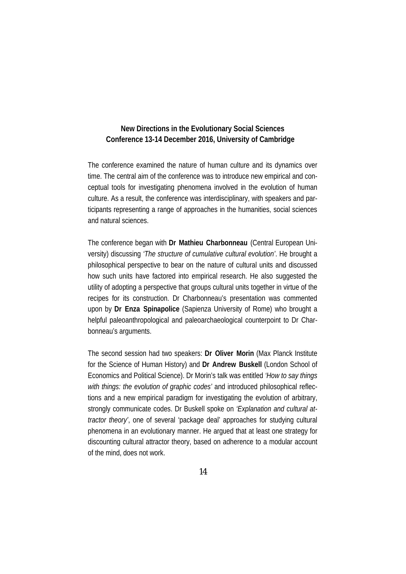#### **New Directions in the Evolutionary Social Sciences Conference 13-14 December 2016, University of Cambridge**

The conference examined the nature of human culture and its dynamics over time. The central aim of the conference was to introduce new empirical and conceptual tools for investigating phenomena involved in the evolution of human culture. As a result, the conference was interdisciplinary, with speakers and participants representing a range of approaches in the humanities, social sciences and natural sciences.

The conference began with **Dr Mathieu Charbonneau** (Central European University) discussing *'The structure of cumulative cultural evolution'*. He brought a philosophical perspective to bear on the nature of cultural units and discussed how such units have factored into empirical research. He also suggested the utility of adopting a perspective that groups cultural units together in virtue of the recipes for its construction. Dr Charbonneau's presentation was commented upon by **Dr Enza Spinapolice** (Sapienza University of Rome) who brought a helpful paleoanthropological and paleoarchaeological counterpoint to Dr Charbonneau's arguments.

The second session had two speakers: **Dr Oliver Morin** (Max Planck Institute for the Science of Human History) and **Dr Andrew Buskell** (London School of Economics and Political Science). Dr Morin's talk was entitled *'How to say things*  with things: the evolution of graphic codes' and introduced philosophical reflections and a new empirical paradigm for investigating the evolution of arbitrary, strongly communicate codes. Dr Buskell spoke on *'Explanation and cultural attractor theory'*, one of several 'package deal' approaches for studying cultural phenomena in an evolutionary manner. He argued that at least one strategy for discounting cultural attractor theory, based on adherence to a modular account of the mind, does not work.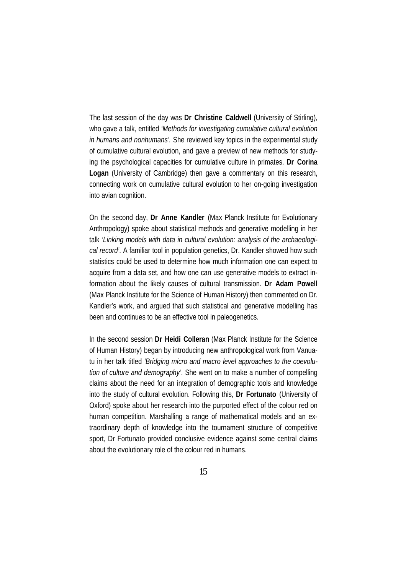The last session of the day was **Dr Christine Caldwell** (University of Stirling), who gave a talk, entitled *'Methods for investigating cumulative cultural evolution in humans and nonhumans'.* She reviewed key topics in the experimental study of cumulative cultural evolution, and gave a preview of new methods for studying the psychological capacities for cumulative culture in primates. **Dr Corina Logan** (University of Cambridge) then gave a commentary on this research, connecting work on cumulative cultural evolution to her on-going investigation into avian cognition.

On the second day, **Dr Anne Kandler** (Max Planck Institute for Evolutionary Anthropology) spoke about statistical methods and generative modelling in her talk *'Linking models with data in cultural evolution: analysis of the archaeological record'*. A familiar tool in population genetics, Dr. Kandler showed how such statistics could be used to determine how much information one can expect to acquire from a data set, and how one can use generative models to extract information about the likely causes of cultural transmission. **Dr Adam Powell** (Max Planck Institute for the Science of Human History) then commented on Dr. Kandler's work, and argued that such statistical and generative modelling has been and continues to be an effective tool in paleogenetics.

In the second session **Dr Heidi Colleran** (Max Planck Institute for the Science of Human History) began by introducing new anthropological work from Vanuatu in her talk titled *'Bridging micro and macro level approaches to the coevolution of culture and demography'*. She went on to make a number of compelling claims about the need for an integration of demographic tools and knowledge into the study of cultural evolution. Following this, **Dr Fortunato** (University of Oxford) spoke about her research into the purported effect of the colour red on human competition. Marshalling a range of mathematical models and an extraordinary depth of knowledge into the tournament structure of competitive sport, Dr Fortunato provided conclusive evidence against some central claims about the evolutionary role of the colour red in humans.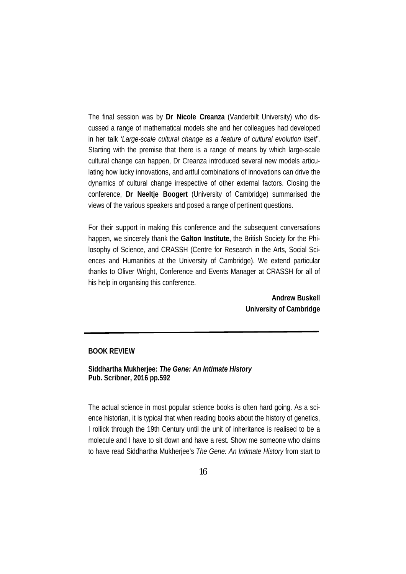The final session was by **Dr Nicole Creanza** (Vanderbilt University) who discussed a range of mathematical models she and her colleagues had developed in her talk *'Large-scale cultural change as a feature of cultural evolution itself'*. Starting with the premise that there is a range of means by which large-scale cultural change can happen, Dr Creanza introduced several new models articulating how lucky innovations, and artful combinations of innovations can drive the dynamics of cultural change irrespective of other external factors. Closing the conference, **Dr Neeltje Boogert** (University of Cambridge) summarised the views of the various speakers and posed a range of pertinent questions.

For their support in making this conference and the subsequent conversations happen, we sincerely thank the **Galton Institute,** the British Society for the Philosophy of Science, and CRASSH (Centre for Research in the Arts, Social Sciences and Humanities at the University of Cambridge). We extend particular thanks to Oliver Wright, Conference and Events Manager at CRASSH for all of his help in organising this conference.

> **Andrew Buskell University of Cambridge**

#### **BOOK REVIEW**

**Siddhartha Mukherjee:** *The Gene: An Intimate History* **Pub. Scribner, 2016 pp.592** 

The actual science in most popular science books is often hard going. As a science historian, it is typical that when reading books about the history of genetics, I rollick through the 19th Century until the unit of inheritance is realised to be a molecule and I have to sit down and have a rest. Show me someone who claims to have read Siddhartha Mukherjee's *The Gene: An Intimate History* from start to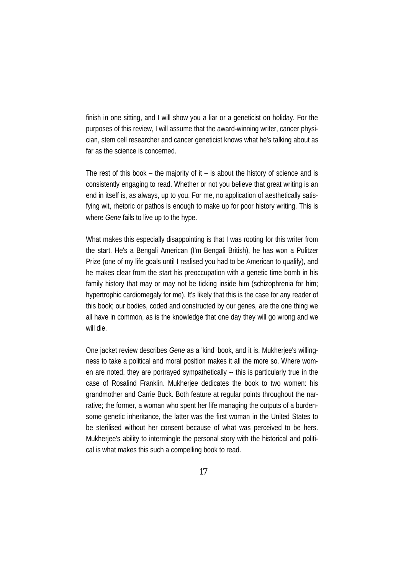finish in one sitting, and I will show you a liar or a geneticist on holiday. For the purposes of this review, I will assume that the award-winning writer, cancer physician, stem cell researcher and cancer geneticist knows what he's talking about as far as the science is concerned.

The rest of this book – the majority of it – is about the history of science and is consistently engaging to read. Whether or not you believe that great writing is an end in itself is, as always, up to you. For me, no application of aesthetically satisfying wit, rhetoric or pathos is enough to make up for poor history writing. This is where *Gene* fails to live up to the hype.

What makes this especially disappointing is that I was rooting for this writer from the start. He's a Bengali American (I'm Bengali British), he has won a Pulitzer Prize (one of my life goals until I realised you had to be American to qualify), and he makes clear from the start his preoccupation with a genetic time bomb in his family history that may or may not be ticking inside him (schizophrenia for him; hypertrophic cardiomegaly for me). It's likely that this is the case for any reader of this book; our bodies, coded and constructed by our genes, are the one thing we all have in common, as is the knowledge that one day they will go wrong and we will die.

One jacket review describes *Gene* as a 'kind' book, and it is. Mukherjee's willingness to take a political and moral position makes it all the more so. Where women are noted, they are portrayed sympathetically -- this is particularly true in the case of Rosalind Franklin. Mukherjee dedicates the book to two women: his grandmother and Carrie Buck. Both feature at regular points throughout the narrative; the former, a woman who spent her life managing the outputs of a burdensome genetic inheritance, the latter was the first woman in the United States to be sterilised without her consent because of what was perceived to be hers. Mukherjee's ability to intermingle the personal story with the historical and political is what makes this such a compelling book to read.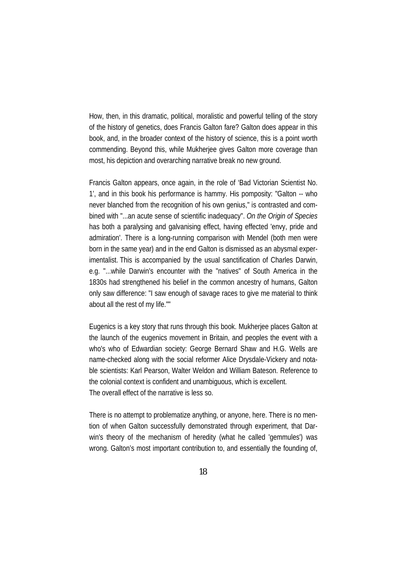How, then, in this dramatic, political, moralistic and powerful telling of the story of the history of genetics, does Francis Galton fare? Galton does appear in this book, and, in the broader context of the history of science, this is a point worth commending. Beyond this, while Mukherjee gives Galton more coverage than most, his depiction and overarching narrative break no new ground.

Francis Galton appears, once again, in the role of 'Bad Victorian Scientist No. 1', and in this book his performance is hammy. His pomposity: "Galton -- who never blanched from the recognition of his own genius," is contrasted and combined with "...an acute sense of scientific inadequacy". *On the Origin of Species* has both a paralysing and galvanising effect, having effected 'envy, pride and admiration'. There is a long-running comparison with Mendel (both men were born in the same year) and in the end Galton is dismissed as an abysmal experimentalist. This is accompanied by the usual sanctification of Charles Darwin, e.g. "...while Darwin's encounter with the "natives" of South America in the 1830s had strengthened his belief in the common ancestry of humans, Galton only saw difference: "I saw enough of savage races to give me material to think about all the rest of my life.""

Eugenics is a key story that runs through this book. Mukherjee places Galton at the launch of the eugenics movement in Britain, and peoples the event with a who's who of Edwardian society: George Bernard Shaw and H.G. Wells are name-checked along with the social reformer Alice Drysdale-Vickery and notable scientists: Karl Pearson, Walter Weldon and William Bateson. Reference to the colonial context is confident and unambiguous, which is excellent. The overall effect of the narrative is less so.

There is no attempt to problematize anything, or anyone, here. There is no mention of when Galton successfully demonstrated through experiment, that Darwin's theory of the mechanism of heredity (what he called 'gemmules') was wrong. Galton's most important contribution to, and essentially the founding of,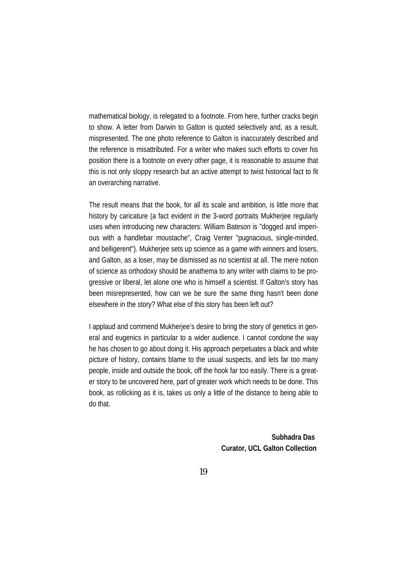mathematical biology, is relegated to a footnote. From here, further cracks begin to show. A letter from Darwin to Galton is quoted selectively and, as a result, mispresented. The one photo reference to Galton is inaccurately described and the reference is misattributed. For a writer who makes such efforts to cover his position there is a footnote on every other page, it is reasonable to assume that this is not only sloppy research but an active attempt to twist historical fact to fit an overarching narrative.

The result means that the book, for all its scale and ambition, is little more that history by caricature (a fact evident in the 3-word portraits Mukherjee regularly uses when introducing new characters: William Bateson is "dogged and imperious with a handlebar moustache", Craig Venter "pugnacious, single-minded, and belligerent"). Mukherjee sets up science as a game with winners and losers, and Galton, as a loser, may be dismissed as no scientist at all. The mere notion of science as orthodoxy should be anathema to any writer with claims to be progressive or liberal, let alone one who is himself a scientist. If Galton's story has been misrepresented, how can we be sure the same thing hasn't been done elsewhere in the story? What else of this story has been left out?

I applaud and commend Mukherjee's desire to bring the story of genetics in general and eugenics in particular to a wider audience. I cannot condone the way he has chosen to go about doing it. His approach perpetuates a black and white picture of history, contains blame to the usual suspects, and lets far too many people, inside and outside the book, off the hook far too easily. There is a greater story to be uncovered here, part of greater work which needs to be done. This book, as rollicking as it is, takes us only a little of the distance to being able to do that.

> **Subhadra Das Curator, UCL Galton Collection**